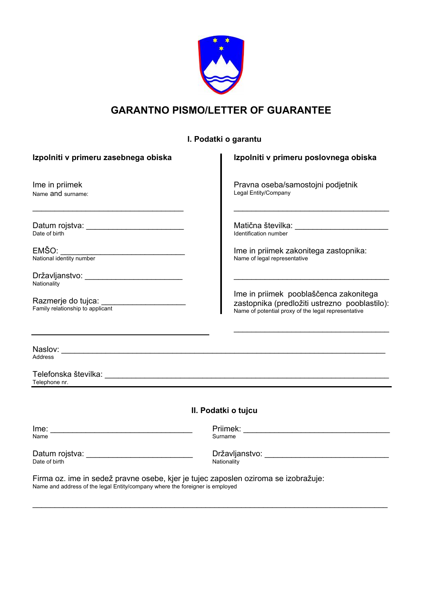

# **GARANTNO PISMO/LETTER OF GUARANTEE**

# **I. Podatki o garantu**

| Izpolniti v primeru zasebnega obiska                                                                                | Izpolniti v primeru poslovnega obiska                                                                                                                  |  |  |  |
|---------------------------------------------------------------------------------------------------------------------|--------------------------------------------------------------------------------------------------------------------------------------------------------|--|--|--|
| Ime in priimek<br>Name and surname:                                                                                 | Pravna oseba/samostojni podjetnik<br>Legal Entity/Company<br>the control of the control of the control of the control of the control of the control of |  |  |  |
| Datum rojstva: __________________________<br>Date of birth                                                          | Identification number                                                                                                                                  |  |  |  |
| EMŠO:<br>National identity number                                                                                   | Ime in priimek zakonitega zastopnika:<br>Name of legal representative                                                                                  |  |  |  |
| Državljanstvo: ___________________________<br>Nationality<br>Razmerje do tujca:<br>Family relationship to applicant | Ime in priimek pooblaščenca zakonitega<br>zastopnika (predložiti ustrezno pooblastilo):<br>Name of potential proxy of the legal representative         |  |  |  |
|                                                                                                                     |                                                                                                                                                        |  |  |  |
| <b>Address</b><br>Telephone nr.                                                                                     |                                                                                                                                                        |  |  |  |
|                                                                                                                     | II. Podatki o tujcu                                                                                                                                    |  |  |  |
| Name                                                                                                                | Surname                                                                                                                                                |  |  |  |
| Date of birth                                                                                                       | Nationality                                                                                                                                            |  |  |  |
| Firma oz. ime in sedež pravne osebe, kjer je tujec zaposlen oziroma se izobražuje:                                  |                                                                                                                                                        |  |  |  |

\_\_\_\_\_\_\_\_\_\_\_\_\_\_\_\_\_\_\_\_\_\_\_\_\_\_\_\_\_\_\_\_\_\_\_\_\_\_\_\_\_\_\_\_\_\_\_\_\_\_\_\_\_\_\_\_\_\_\_\_\_\_\_\_\_\_\_\_\_\_\_\_\_\_\_\_\_\_\_\_

Name and address of the legal Entity/company where the foreigner is employed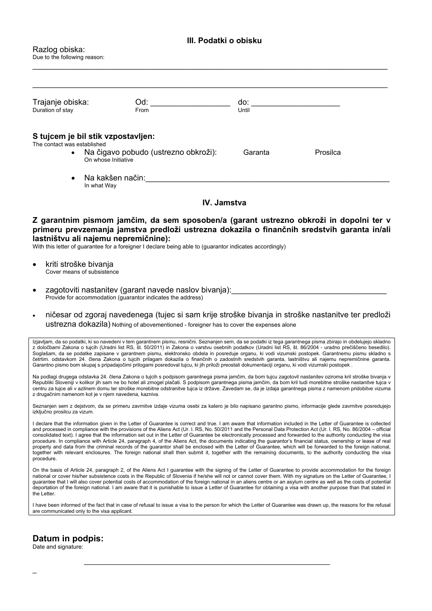#### **III. Podatki o obisku**

#### Razlog obiska: Due to the following reason:

| Trajanje obiska:<br>Duration of stay                                     | Od:<br>From                        | do:<br>Until |          |
|--------------------------------------------------------------------------|------------------------------------|--------------|----------|
| The contact was established                                              | S tujcem je bil stik vzpostavljen: |              |          |
| Na čigavo pobudo (ustrezno obkroži):<br>$\bullet$<br>On whose Initiative |                                    | Garanta      | Prosilca |
| $\bullet$                                                                | Na kakšen način:<br>In what Way    |              |          |

\_\_\_\_\_\_\_\_\_\_\_\_\_\_\_\_\_\_\_\_\_\_\_\_\_\_\_\_\_\_\_\_\_\_\_\_\_\_\_\_\_\_\_\_\_\_\_\_\_\_\_\_\_\_\_\_\_\_\_\_\_\_\_\_\_\_\_\_\_\_\_\_\_\_\_\_\_\_\_\_

### **IV. Jamstva**

#### **Z garantnim pismom jamčim, da sem sposoben/a (garant ustrezno obkroži in dopolni ter v primeru prevzemanja jamstva predloži ustrezna dokazila o finančnih sredstvih garanta in/ali lastništvu ali najemu nepremičnine):**

With this letter of guarantee for a foreigner I declare being able to (guarantor indicates accordingly)

- kriti stroške bivanja Cover means of subsistence
- zagotoviti nastanitev (garant navede naslov bivanja): Provide for accommodation (guarantor indicates the address)
- ničesar od zgoraj navedenega (tujec si sam krije stroške bivanja in stroške nastanitve ter predloži ustrezna dokazila) Nothing of abovementioned - foreigner has to cover the expenses alone

Izjavljam, da so podatki, ki so navedeni v tem garantnem pismu, resnični. Seznanjen sem, da se podatki iz tega garantnega pisma zbirajo in obdelujejo skladno z določbami Zakona o tujcih (Uradni list RS, št. 50/2011) in Zakona o varstvu osebnih podatkov (Uradni list RS, št. 86/2004 - uradno prečiščeno besedilo). Soglašam, da se podatke zapisane v garantnem pismu, elektronsko obdela in posreduje organu, ki vodi vizumski postopek. Garantnemu pismu skladno s četrtim. odstavkom 24. člena Zakona o tujcih prilagam dokazila o finančnih o zadostnih sredstvih garanta, lastništvu ali najemu nepremičnine garanta. Garantno pismo bom skupaj s pripadajočimi prilogami posredoval tujcu, ki jih priloži preostali dokumentaciji organu, ki vodi vizumski postopek .

Na podlagi drugega odstavka 24. člena Zakona o tujcih s podpisom garantnega pisma jamčim, da bom tujcu zagotovil nastanitev oziroma kril stroške bivanja v Republiki Sloveniji v kolikor jih sam ne bo hotel ali zmogel plačati. S podpisom garantnega pisma jamčim, da bom kril tudi morebitne stroške nastanitve tujca v centru za tujce ali v azilnem domu ter stroške morebitne odstranitve tujca iz države. Zavedam se, da je izdaja garantnega pisma z namenom pridobitve vizuma z drugačnim namenom kot je v njem navedena, kazniva.

Seznanjen sem z dejstvom, da se primeru zavrnitve izdaje vizuma osebi za katero je bilo napisano garantno pismo, informacije glede zavrnitve posredujejo izključno prosilcu za vizum.

I declare that the information given in the Letter of Guarantee is correct and true. I am aware that information included in the Letter of Guarantee is collected and processed in compliance with the provisions of the Aliens Act (Ur. l. RS, No. 50/2011 and the Personal Data Protection Act (Ur. l. RS, No. 86/2004 – official consolidated text). I agree that the information set out in the Letter of Guarantee be electronically processed and forwarded to the authority conducting the visa procedure. In compliance with Article 24, paragraph 4, of the Aliens Act, the documents indicating the guarantor's financial status, ownership or lease of real property and data from the criminal records of the guarantor shall be enclosed with the Letter of Guarantee, which will be forwarded to the foreign national, together with relevant enclosures. The foreign national shall then submit it, together with the remaining documents, to the authority conducting the visa procedure.

On the basis of Article 24, paragraph 2, of the Aliens Act I guarantee with the signing of the Letter of Guarantee to provide accommodation for the foreign national or cover his/her subsistence costs in the Republic of Slovenia if he/she will not or cannot cover them. With my signature on the Letter of Guarantee, I guarantee that I will also cover potential costs of accommodation of the foreign national in an aliens centre or an asylum centre as well as the costs of potential deportation of the foreign national. I am aware that it is punishable to issue a Letter of Guarantee for obtaining a visa with another purpose than that stated in the Letter.

I have been informed of the fact that in case of refusal to issue a visa to the person for which the Letter of Guarantee was drawn up, the reasons for the refusal are communicated only to the visa applicant.

 $\mathcal{L}_\text{max} = \frac{1}{2} \sum_{i=1}^n \mathcal{L}_i \mathcal{L}_i + \mathcal{L}_i \mathcal{L}_i + \mathcal{L}_i \mathcal{L}_i + \mathcal{L}_i \mathcal{L}_i + \mathcal{L}_i \mathcal{L}_i + \mathcal{L}_i \mathcal{L}_i + \mathcal{L}_i \mathcal{L}_i + \mathcal{L}_i \mathcal{L}_i + \mathcal{L}_i \mathcal{L}_i + \mathcal{L}_i \mathcal{L}_i + \mathcal{L}_i \mathcal{L}_i + \mathcal{L}_i \mathcal{L}_i + \mathcal{L}_i \mathcal{L$ 

#### **Datum in podpis:**

Date and signature: